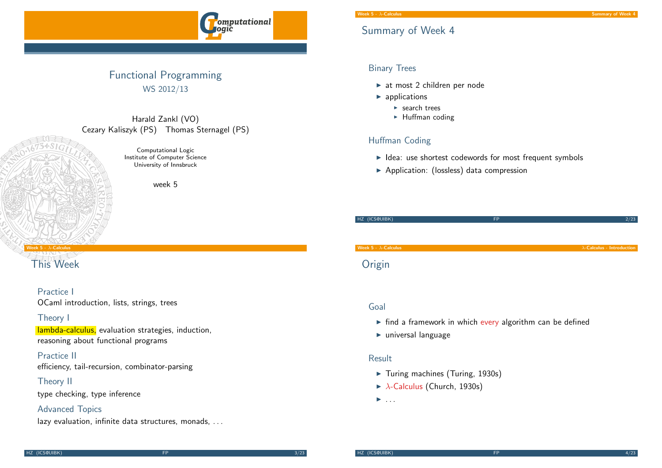

## Functional Programming WS 2012/13

Harald Zankl (VO) Cezary Kaliszyk (PS) Thomas Sternagel (PS)

> Computational Logic Institute of Computer Science University of Innsbruck

> > week 5

#### Week 5 -  $\lambda$ -Calculus

## [This](#page-0-0) Week

#### Practice I

OCaml introduction, lists, strings, trees

#### Theory I

lambda-calculus, evaluation strategies, induction, reasoning about functional programs

Practice II efficiency, tail-recursion, combinator-parsing

#### Theory II

type checking, type inference

#### Advanced Topics

lazy evaluation, infinite data structures, monads, ...

## Summary of Week 4

#### Binary Trees

- $\blacktriangleright$  at most 2 children per node
- $\blacktriangleright$  applications
	- $\blacktriangleright$  search trees
	- $\blacktriangleright$  Huffman coding

## Huffman Coding

- $\blacktriangleright$  Idea: use shortest codewords for most frequent symbols
- $\blacktriangleright$  Application: (lossless) data compression

HZ (ICS@UIBK) FP 2/23 Week 5 -  $\lambda$ -Calculus - Introduction  $\lambda$ -Calculus - Introduction  $\lambda$ -Calculus - Introduction

# **Origin**

#### Goal

- $\blacktriangleright$  find a framework in which every algorithm can be defined
- $\blacktriangleright$  universal language

#### Result

- $\blacktriangleright$  Turing machines (Turing, 1930s)
- $\blacktriangleright$   $\lambda$ -Calculus (Church, 1930s)
- <span id="page-0-0"></span> $\blacktriangleright$  ...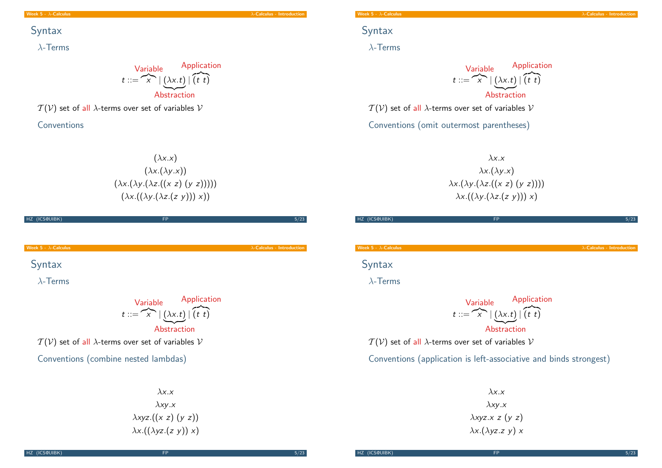#### Week 5 -  $\lambda$ -Calculus - Introduction - Interviewed and  $\lambda$ -Calculus - Introduction

## Syntax

λ-Terms

 $t ::= \widehat{X} | (\lambda x. t) | (t \ t)$ Variable Abstraction Application

 $T(V)$  set of all  $\lambda$ -terms over set of variables  $V$ 

Conventions

 $(\lambda x.x)$  $(\lambda x.(\lambda y.x))$  $(\lambda x.(\lambda y.(\lambda z.((x z) (y z))))))$  $(\lambda x.((\lambda y.(\lambda z.(z y)))) x))$ 

| (ICS@UIBK)<br>HZ.            | <b>FP</b>                                                                                                                                                                                                       | 5/23                               |
|------------------------------|-----------------------------------------------------------------------------------------------------------------------------------------------------------------------------------------------------------------|------------------------------------|
|                              |                                                                                                                                                                                                                 |                                    |
| Week $5 - \lambda$ -Calculus |                                                                                                                                                                                                                 | $\lambda$ -Calculus - Introduction |
| Syntax                       |                                                                                                                                                                                                                 |                                    |
| $\lambda$ -Terms             |                                                                                                                                                                                                                 |                                    |
|                              | Variable Application<br>$t ::= \overbrace{x} \mid (\lambda x. t) \mid \overbrace{(t \ t)}$<br>Abstraction<br>$T(V)$ set of all $\lambda$ -terms over set of variables V<br>Conventions (combine nested lambdas) |                                    |

# Syntax

λ-Terms

 $t ::= \overbrace{x} | (\lambda x. t) | (t \ t)$ Variable Abstraction Application

 $T(V)$  set of all  $\lambda$ -terms over set of variables  $V$ 

Conventions (omit outermost parentheses)

 $\lambda$ x.x  $\lambda x.(\lambda y.x)$  $\lambda x.(\lambda y.(\lambda z.((x z) (y z))))$  $\lambda x.((\lambda y.(\lambda z.(z y)))) x)$ 

| HZ (ICS@UIBK)                                    | FP                                                                                | 5/23                               |
|--------------------------------------------------|-----------------------------------------------------------------------------------|------------------------------------|
| Week 5 - $\lambda$ -Calculus                     |                                                                                   | $\lambda$ -Calculus - Introduction |
| Syntax                                           |                                                                                   |                                    |
| $\lambda$ -Terms                                 |                                                                                   |                                    |
|                                                  | Variable<br>$t ::= \overbrace{x} \mid (\lambda x. t) \mid (t \ t)$<br>Abstraction |                                    |
| $\tau$ $\sim$ $\sim$ $\sim$ $\sim$ $\sim$ $\sim$ | $\sim$ $\sim$ $\sim$ $\sim$ $\sim$                                                |                                    |

 $T(V)$  set of all  $\lambda$ -terms over set of variables V

Conventions (application is left-associative and binds strongest)

 $\lambda$ x.x  $\lambda$ xy.x  $\lambda$ xyz.x z (y z)  $\lambda$ x.( $\lambda$ yz.z y) x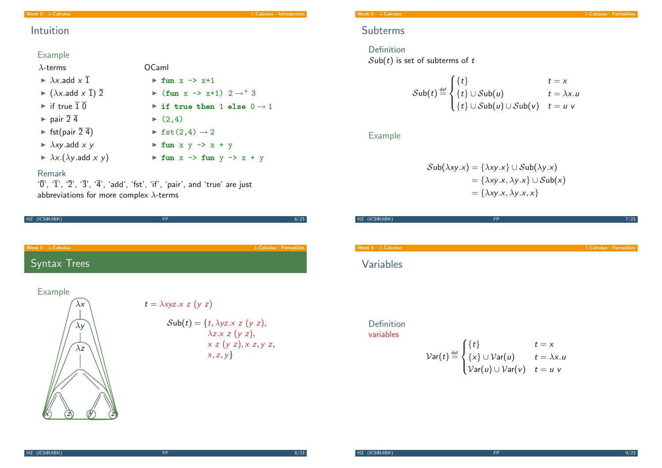Week 5 -  $\lambda$ -Calculus  $\lambda$ -Calculus - Introduction

## Intuition

### Example

### λ-terms

- $\blacktriangleright$   $\lambda$ x.add x  $\bar{1}$
- $\blacktriangleright$  ( $\lambda x$ .add  $x \overline{1}$ )  $\overline{2}$
- if true  $\overline{1} \overline{0}$
- $\blacktriangleright$  pair  $\overline{2}$  4
- $\blacktriangleright$  fst(pair  $\overline{2}$  4)
- $\blacktriangleright$   $\lambda xy$  add x y
- $\blacktriangleright \lambda x.(\lambda y. \text{add } x y)$
- $\blacktriangleright$  fst(2,4)  $\rightarrow$  2  $\triangleright$  fun x y  $\rightarrow$  x + y

 $\blacktriangleright$  fun  $x \rightarrow x+1$ 

 $\blacktriangleright$  (fun x -> x+1) 2  $\rightarrow$  + 3

 $\triangleright$  if true then 1 else  $0 \rightarrow 1$ 

 $\triangleright$  fun  $x \rightarrow$  fun  $y \rightarrow x + y$ 

 $\blacktriangleright$  (2,4)

#### Remark

' $\overline{0}'$ , ' $\overline{1}'$ , ' $\overline{2}'$ , ' $\overline{3}'$ , ' $\overline{4}'$ , 'add', 'fst', 'if', 'pair', and 'true' are just abbreviations for more complex  $\lambda$ -terms

OCaml

| HZ (ICS@UIBK)                                               | <b>FP</b>                                                                                                                                       | 6/23                              |
|-------------------------------------------------------------|-------------------------------------------------------------------------------------------------------------------------------------------------|-----------------------------------|
|                                                             |                                                                                                                                                 |                                   |
| Week $5 - \lambda$ -Calculus                                |                                                                                                                                                 | $\lambda$ -Calculus - Formalities |
| <b>Syntax Trees</b>                                         |                                                                                                                                                 |                                   |
| <b>Example</b><br>$\lambda x$<br>$\lambda y$<br>$\lambda z$ | $t = \lambda xyz.x z (y z)$<br>$\mathcal{S}$ ub $(t) = \{t, \lambda yz.x z (y z),$<br>$\lambda z.x z (y z),$<br>x z (y z), x z, y z,<br>x, z, y |                                   |

# Subterms

Definition  $Sub(t)$  is set of subterms of t

$$
\mathcal{S}\text{ub}(t) \stackrel{\text{def}}{=} \begin{cases} \{t\} & t = x \\ \{t\} \cup \mathcal{S}\text{ub}(u) & t = \lambda x. u \\ \{t\} \cup \mathcal{S}\text{ub}(u) \cup \mathcal{S}\text{ub}(v) & t = u \end{cases}
$$

## Example

$$
\mathcal{Sub}(\lambda xy.x) = {\lambda xy.x} \cup \mathcal{Sub}(\lambda y.x)
$$
  
= {\lambda xy.x, \lambda y.x} \cup \mathcal{Sub}(x)  
= { \lambda xy.x, \lambda y.x, x}

| HZ (ICS@UIBK)                | <b>FP</b>                                                                                                                                       |                                   | 7/23 |
|------------------------------|-------------------------------------------------------------------------------------------------------------------------------------------------|-----------------------------------|------|
|                              |                                                                                                                                                 |                                   |      |
| Week $5 - \lambda$ -Calculus |                                                                                                                                                 | $\lambda$ -Calculus - Formalities |      |
| Variables                    |                                                                                                                                                 |                                   |      |
| Definition<br>variables      | $Var(t) \stackrel{\text{def}}{=} \begin{cases} \{t\} & t = x \\ \{x\} \cup Var(u) & t = \lambda x. u \\ Var(u) \cup Var(v) & t = u \end{cases}$ |                                   |      |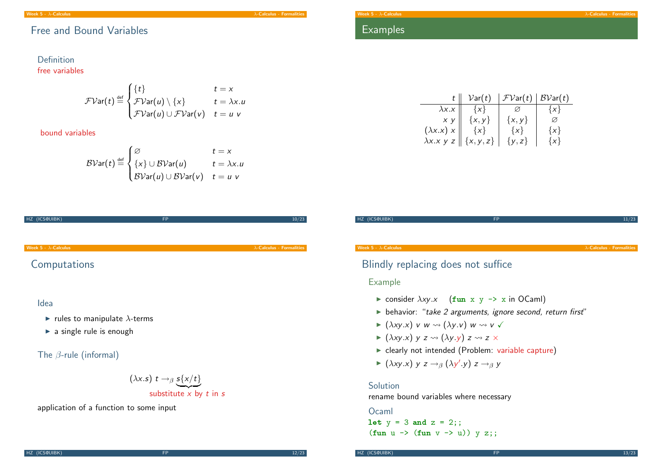Week 5 -  $\lambda$ -Calculus - Formalities  $\lambda$ -Calculus - Formalities  $\lambda$ -Calculus - Formalities

## Free and Bound Variables

#### Definition free variables

$$
\mathcal{FVar}(t) \stackrel{\text{def}}{=} \begin{cases} \{t\} & t = x \\ \mathcal{FVar}(u) \setminus \{x\} & t = \lambda x. u \\ \mathcal{FVar}(u) \cup \mathcal{FVar}(v) & t = u \end{cases}
$$

bound variables

$$
\mathcal{BVar}(t) \stackrel{\text{def}}{=} \begin{cases} \varnothing & t = x \\ \{x\} \cup \mathcal{BVar}(u) & t = \lambda x. u \\ \mathcal{BVar}(u) \cup \mathcal{BVar}(v) & t = u \end{cases}
$$

| HZ (ICS@UIBK)                                                                            | <b>FP</b>                                       | 10/23                             |
|------------------------------------------------------------------------------------------|-------------------------------------------------|-----------------------------------|
|                                                                                          |                                                 |                                   |
| Week $5 - \lambda$ -Calculus                                                             |                                                 | $\lambda$ -Calculus - Formalities |
| Computations                                                                             |                                                 |                                   |
| Idea<br>rules to manipulate $\lambda$ -terms<br>$\triangleright$ a single rule is enough |                                                 |                                   |
| The $\beta$ -rule (informal)                                                             |                                                 |                                   |
|                                                                                          | $(\lambda x. s) t \rightarrow_{\beta} s\{x/t\}$ |                                   |

substitute  $x$  by t in s

application of a function to some input

## Examples

|                   | $\mathcal{V}$ ar $(t)$ | FVar(t)    | BVar(t) |
|-------------------|------------------------|------------|---------|
| $\lambda x.x$     | $\{x\}$                |            | $\{x\}$ |
| $x \, y$          | $\{x, y\}$             | $\{x, y\}$ | Ø       |
| $(\lambda x.x) x$ | $\{x\}$                | $\{x\}$    | $\{x\}$ |
| $\lambda x.x$ y z | $\{x, y, z\}$          | $\{y, z\}$ | $\{x\}$ |

| HZ (ICS@UIBK)                | <b>FP</b> | 11/23                             |
|------------------------------|-----------|-----------------------------------|
|                              |           |                                   |
|                              |           |                                   |
| Week $5 - \lambda$ -Calculus |           | $\lambda$ -Calculus - Formalities |

## Blindly replacing does not suffice

#### Example

- $\triangleright$  consider  $\lambda xy.x$  (fun x y -> x in OCaml)
- $\blacktriangleright$  behavior: "take 2 arguments, ignore second, return first"
- $\blacktriangleright$  ( $\lambda xy.x$ ) v w  $\rightsquigarrow$  ( $\lambda y.v$ ) w  $\rightsquigarrow$  v  $\checkmark$
- $\blacktriangleright$  ( $\lambda xy.x$ ) y z  $\rightsquigarrow$  ( $\lambda y.y$ ) z  $\rightsquigarrow$  z  $\times$
- $\blacktriangleright$  clearly not intended (Problem: variable capture)
- $\blacktriangleright$  ( $\lambda xy.x$ ) y z  $\rightarrow$ <sub>β</sub> ( $\lambda y'.y$ ) z  $\rightarrow$ <sub>β</sub> y

#### **Solution**

rename bound variables where necessary

**Ocaml** let  $y = 3$  and  $z = 2$ ;; (fun  $u \rightarrow$  (fun  $v \rightarrow u$ ))  $y z$ ;;

HZ (ICS@UIBK) **FP** 13/23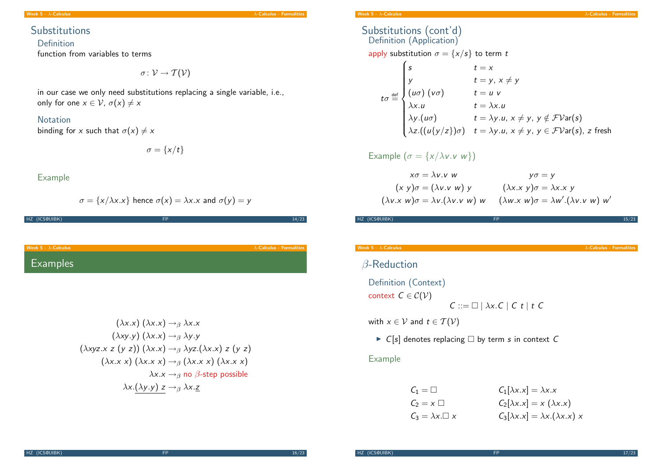Week 5 -  $\lambda$ -Calculus  $\lambda$ -Calculus - Formalities

### **Substitutions**

#### Definition

function from variables to terms

$$
\sigma\colon \mathcal{V}\to \mathcal{T}(\mathcal{V})
$$

in our case we only need substitutions replacing a single variable, i.e., only for one  $x \in \mathcal{V}$ ,  $\sigma(x) \neq x$ 

#### Notation

binding for x such that  $\sigma(x) \neq x$ 

 $\sigma = \{x/t\}$ 

#### Example

$$
\sigma = \{x/\lambda x.x\}
$$
 hence  $\sigma(x) = \lambda x.x$  and  $\sigma(y) = y$ 

| HZ (ICS@UIBK)                | <b>FP</b> | 14/23                             |
|------------------------------|-----------|-----------------------------------|
|                              |           |                                   |
|                              |           |                                   |
| Week 5 - $\lambda$ -Calculus |           | $\lambda$ -Calculus - Formalities |
| <b>Examples</b>              |           |                                   |

$$
(\lambda x.x) (\lambda x.x) \rightarrow_{\beta} \lambda x.x
$$
  

$$
(\lambda xy.y) (\lambda x.x) \rightarrow_{\beta} \lambda y.y
$$
  

$$
(\lambda xyz.x z (y z)) (\lambda x.x) \rightarrow_{\beta} \lambda yz. (\lambda x.x) z (y z)
$$
  

$$
(\lambda x.x) (\lambda x.x) \rightarrow_{\beta} (\lambda x.x) (\lambda x.x)
$$
  

$$
\lambda x.x \rightarrow_{\beta} \text{no } \beta\text{-step possible}
$$
  

$$
\lambda x. (\lambda y.y) z \rightarrow_{\beta} \lambda x. \underline{z}
$$

#### Substitutions (cont'd) Definition (Application)

apply substitution  $\sigma = \{x/s\}$  to term t

$$
t \sigma \stackrel{\text{def}}{=} \begin{cases} s & t = x \\ y & t = y, x \neq y \\ (u\sigma) (v\sigma) & t = u \, v \\ \lambda x. u & t = \lambda x. u \\ \lambda y. (u\sigma) & t = \lambda y. u, x \neq y, y \notin \mathcal{F} \mathcal{V} \text{ar}(s) \\ \lambda z. ((u\{y/z\})\sigma) & t = \lambda y. u, x \neq y, y \in \mathcal{F} \mathcal{V} \text{ar}(s), z \text{ fresh} \end{cases}
$$

#### Example  $(\sigma = \{x/\lambda v \cdot v \ w\})$

$$
x\sigma = \lambda v.v \quad w \quad y\sigma = y
$$
  
(x y)\sigma = (\lambda v.v w) y \quad (\lambda x.x y)\sigma = \lambda x.x y  
(\lambda v.x w)\sigma = \lambda v.(\lambda v.v w) w \quad (\lambda w.x w)\sigma = \lambda w'.(\lambda v.v w) w'

HZ (ICS@UIBK) 15/23

Week 5 -  $\lambda$ -Calculus **- Formalities** 

## β-Reduction

Definition (Context) context  $C \in \mathcal{C}(\mathcal{V})$  $C ::= \Box | \lambda x.C | C t | t C$ 

with  $x \in \mathcal{V}$  and  $t \in \mathcal{T}(\mathcal{V})$ 

 $\triangleright$  C[s] denotes replacing  $\Box$  by term s in context C

#### Example

| $C_1 = \Box$             | $C_1[\lambda x.x] = \lambda x.x$               |
|--------------------------|------------------------------------------------|
| $C_2 = x \square$        | $C_2[\lambda x.x] = x (\lambda x.x)$           |
| $C_3 = \lambda x \Box x$ | $C_3[\lambda x.x] = \lambda x.(\lambda x.x) x$ |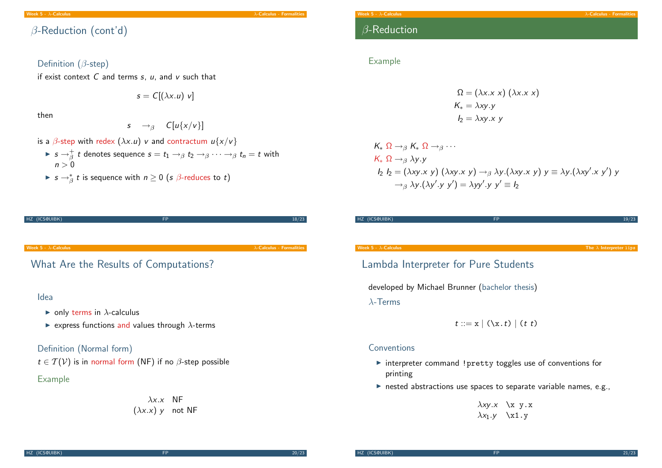Week 5 -  $\lambda$ -Calculus - Formalities  $\lambda$ -Calculus - Formalities  $\lambda$ -Calculus - Formalities  $\lambda$ -Calculus - Formalities  $\lambda$ 

β-Reduction (cont'd)

### Definition (β-step)

if exist context  $C$  and terms  $s$ ,  $u$ , and  $v$  such that

$$
s = C[(\lambda x.u) v]
$$

then

$$
s \quad \rightarrow_{\beta} \quad C[u\{x/v\}]
$$

- is a  $\beta$ -step with redex  $(\lambda x. u)$  v and contractum  $u\{x/v\}$ 
	- $\blacktriangleright$   $s\rightarrow_{\beta}^+ t$  denotes sequence  $s=t_1\rightarrow_{\beta} t_2\rightarrow_{\beta} \cdots \rightarrow_{\beta} t_n=t$  with  $n > 0$

HZ (ICS@UIBK) 8/23

►  $s \rightarrow^*_\beta t$  is sequence with  $n \geq 0$  (s  $\beta$ -reduces to t)

| Week $5 - \lambda$ -Calculus |  |  |
|------------------------------|--|--|
|                              |  |  |

## β-Reduction

#### Example

$$
\Omega = (\lambda x.x)(\lambda x.x)
$$
  
\n
$$
K_* = \lambda xy.y
$$
  
\n
$$
I_2 = \lambda xy.x y
$$

$$
K_* \Omega \to_{\beta} K_* \Omega \to_{\beta} \cdots
$$
  
\n
$$
K_* \Omega \to_{\beta} \lambda y.y
$$
  
\n
$$
I_2 I_2 = (\lambda xy.x y) (\lambda xy.x y) \to_{\beta} \lambda y.(\lambda xy.x y) y \equiv \lambda y.(\lambda xy'.x y') y
$$
  
\n
$$
\to_{\beta} \lambda y.(\lambda y'.y y') = \lambda yy'.y y' \equiv I_2
$$

| The $\lambda$ Interpreter lips                 |
|------------------------------------------------|
| Lambda Interpreter for Pure Students           |
| developed by Michael Brunner (bachelor thesis) |
|                                                |
|                                                |

### Conventions

- $\triangleright$  interpreter command ! pretty toggles use of conventions for printing
- $\triangleright$  nested abstractions use spaces to separate variable names, e.g.,

 $\lambda$ xy.x \x y.x  $\lambda x_1 \cdot y \quad \lambda x_1 \cdot y$ 

# Week 5 -  $\lambda$ -Calculus  $\lambda$ -Calculus - Formalities [Wha](#page-0-0)t Are the Results of Computations? Idea  $\triangleright$  only terms in  $\lambda$ -calculus  $\triangleright$  express functions and values through  $\lambda$ -terms Definition (Normal form)  $t \in T(V)$  is in normal form (NF) if no  $\beta$ -step possible Example

## $\lambda x.x$  NF  $(\lambda x.x)$  y not NF

HZ (ICS@UIBK) 20/23